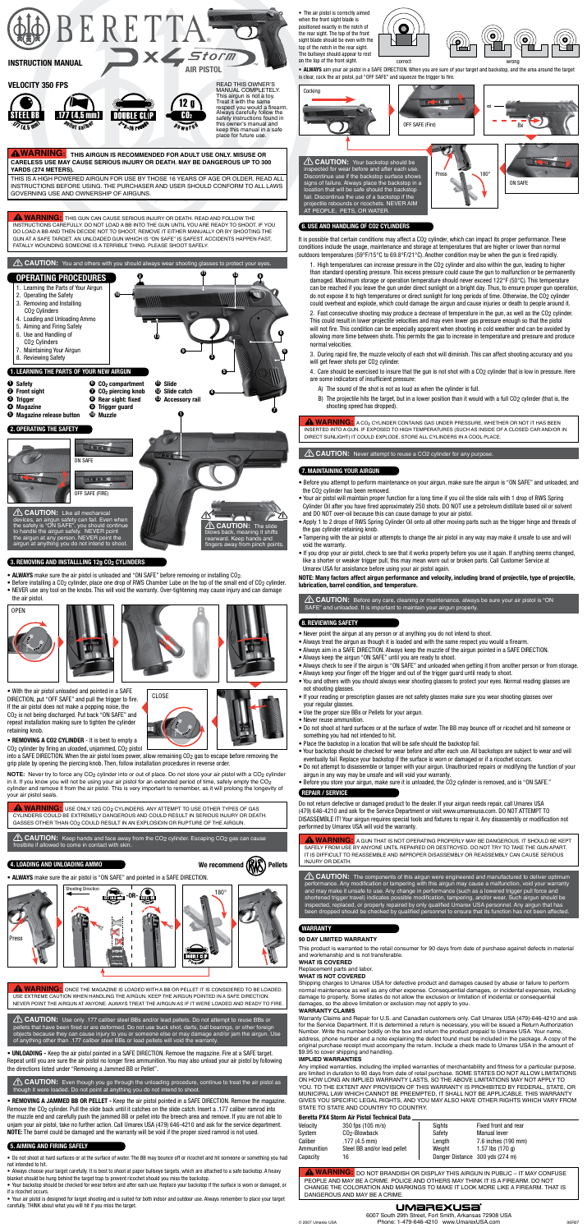**WARNING: THIS AIRGUN IS RECOMMENDED FOR ADULT USE ONLY. Misuse or careless use may cause serious injury or death. May be dangerous up to 300 yards (274 meters).**

Pellet caliber

 $.477$  (4,5 mm)

 $\rho$  w e r e d  ${\bf G0}_2$ safety instructions found in this owner's manual and keep this manual in a safe place for future use.

This is a high powered airgun for use by those 16 years of age or older. Read all instructions before using. The purchaser and user should conform to all laws governing use and ownership of airguns.

**A WARNING:** THIS GUN CAN CAUSE SERIOUS INJURY OR DEATH. READ AND FOLLOW THE instructions carefully. Do not load a BB into the gun until you are ready to shoot. If you do load a BB and then decide not to shoot, remove it either manually or by shooting the gun at a safe target. An unloaded gun which is "ON SAFE" is safest. Accidents happen fast, FATALLY WOUNDING someone is a terrible thing. Please shoot safely.

**A WARNING:** USE ONLY 12G CO<sub>2</sub> CYLINDERS. ANY ATTEMPT TO USE OTHER TYPES OF GAS cylinders could be extremely dangerous and could result in serious injury or death. Gasses other than CO2 could result in an explosioin or rupture of the airgun.

**A WARNING:** A CO<sub>2</sub> CYLINDER CONTAINS GAS UNDER PRESSURE, WHETHER OR NOT IT HAS BEEN INSERTED INTO A GUN. IF EXPOSED TO HIGH TEMPERATURES (SUCH AS INSIDE OF A CLOSED CAR AND/OR IN DIRECT SUNLIGHT) IT COULD EXPLODE. STORE ALL CYLINDERS IN A COOL PLACE.

**CAUTION:** Never attempt to reuse a CO2 cylinder for any purpose.

**CAUTION:** Before any care, cleaning or maintenance, always be sure your air pistol is "ON SAFE" and unloaded. It is important to maintain your airgun properly.

**WARNING:** Once the magazine is loaded with a BB or pellet it is considered to be loaded. Use extreme caution when handling the airgun. Keep the airgun pointed in a safe direction. Never point the airgun at anyone. Always treat the airgun as if it were loaded and ready to fire. **ALCAUTION:** The components of this airgun were engineered and manufactured to deliver optimum performance. Any modification or tampering with this airgun may cause a malfunction, void your warranty and may make it unsafe to use. Any change in performance (such as a lowered trigger pull force and shortened trigger travel) indicates possible modification, tampering, and/or wear. Such airgun should be inspected, replaced, or properly repaired by only qualified Umarex USA personnel. Any airgun that has been dropped should be checked by qualified personnel to ensure that its function has not been affected.

### **WARRANTY**

- ALWAYS make sure the air pistol is unloaded and "ON SAFE" before removing or installing CO<sub>2</sub>.
- Before installing a CO2 cylinder, place one drop of RWS Chamber Lube on the top of the small end of CO2 cylinder. • NEVER use any tool on the knobs. This will void the warranty. Over-tightening may cause injury and can damage

fail. Discontinue the use of a backstop if the projectile rebounds or ricochets. NEVER Al AT PEOPLE, PETS, OR WATER.

• REMOVING A JAMMED BB OR PELLET - Keep the air pistol pointed in a SAFE DIRECTION. Remove the magazine. Remove the CO<sub>2</sub> cylinder. Pull the slide back until it catches on the slide catch. Insert a .177 caliber ramrod into the muzzle end and carefully push the jammed BB or pellet into the breech area and remove. If you are not able to unjam your air pistol, take no further action. Call Umarex USA (479) 646-4210 and ask for the service department. NOTE: The barrel could be damaged and the warranty will be void if the proper sized ramrod is not used.

**CAUTION:** Keep hands and face away from the CO2 cylinder. Escaping CO2 gas can cause frostbite if allowed to come in contact with skin.

**CAUTION:** Use only .177 caliber steel BBs and/or lead pellets. Do not attempt to reuse BBs or pellets that have been fired or are deformed. Do not use buck shot, darts, ball bearings, or other foreign objects because they can cause injury to you or someone else or may damage and/or jam the airgun. Use of anything other than .177 caliber steel BBs or lead pellets will void the warranty.

• ALWAYS aim your air pistol in a SAFE DIRECTION. When you are sure of your target and backstop, and the area around the target is clear, cock the air pistol, put "OFF SAFE" and squeeze the trigger to fire.

• The air pistol is correctly aimed when the front sight blade is positioned exactly in the notch of the rear sight. The top of the front sight blade should be even with the top of the notch in the rear sight. The bullseye should appear to rest

into a SAFE DIRECTION. When the air pistol loses power, allow remaining CO<sub>2</sub> gas to escape before removing the grip plate by opening the piercing knob. Then, follow installation procedures in reverse order.

**NOTE:** Never try to force any CO<sub>2</sub> cylinder into or out of place. Do not store your air pistol with a CO<sub>2</sub> cylinder in it. If you know you will not be using your air pistol for an extended period of time, safely empty the CO2 cylinder and remove it from the air pistol. This is very important to remember, as it will prolong the longevity of your air pistol seals.

**CAUTION:** Even though you go through the unloading procedure, continue to treat the air pistol as though it were loaded. Do not point at anything you do not intend to shoot.

It is possible that certain conditions may affect a CO<sub>2</sub> cylinder, which can impact its proper performance. These conditions include the usage, maintenance and storage at temperatures that are higher or lower than normal outdoors temperatures (59°F/15°C to 69.8°F/21°C). Another condition may be when the gun is fired rapidly.

## 6. Use and handling of co2 cylinders

### 7. Maintaining your airgun

## 8. Reviewing safety

### Repair / Service

### 4. Loading and Unloading Ammo

### 5. Aiming and Firing Safely

2. Fast consecutive shooting may produce a decrease of temperature in the gun, as well as the CO2 cylinder. This could result in lower projectile velocities and may even lower gas pressure enough so that the pistol will not fire. This condition can be especially apparent when shooting in cold weather and can be avoided by allowing more time between shots. This permits the gas to increase in temperature and pressure and produce normal velocities.

the air pistol.

• UNLOADING - Keep the air pistol pointed in a SAFE DIRECTION. Remove the magazine. Fire at a SAFE target. Repeat until you are sure the air pistol no longer fires ammunition. You may also unload your air pistol by following the directions listed under "Removing a Jammed BB or Pellet".



• Do not shoot at hard surfaces or at the surface of water. The BB may bounce off or ricochet and hit someone or something you had not intended to hit.

• Always choose your target carefully. It is best to shoot at paper bullseye targets, which are attached to a safe backstop. A heavy blanket should be hung behind the target trap to prevent ricochet should you miss the backstop.

Any implied warranties, including the implied warranties of merchantability and fitness for a particular purpose, are limited in duration to 90 days from date of retail purchase. SOME STATES DO NOT ALLOW LIMITATIONS on how long an implied warranty lasts, so the above limitations may not apply to you. To the extent any provision of this warranty is prohibited by federal, state, or municipal law which cannot be preempted, it shall not be applicable. This warranty gives you specific legal rights, and you may also have other rights which vary from STATE TO STATE AND COUNTRY TO COUNTRY.

• Your backstop should be checked for wear before and after each use. Replace your backstop if the surface is worn or damaged, or if a ricochet occurs.

• Your air pistol is designed for target shooting and is suited for both indoor and outdoor use. Always remember to place your target carefully. THINK about what you will hit if you miss the target.



• With the air pistol unloaded and pointed in a SAFE DIRECTION, put "OFF SAFE" and pull the trigger to fire. If the air pistol does not make a popping noise, the CO2 is not being discharged. Put back "ON SAFE" and repeat installation making sure to tighten the cylinder retaining knob.

## • REMOVING A CO2 CYLINDER - It is best to empty a



**WARNING:** <sup>A</sup> GUN THAT IS NOT OPERATING PROPERLY MAY BE DANGEROUS. IT SHOULD BE KEPT SAFELY FROM USE BY ANYONE UNTIL REPAIRED OR DESTROYED. DO NOT TRY TO TAKE THE GUN APART. IT IS DIFFICULT TO REASSEMBLE AND IMPROPER DISASSEMBLY OR REASSEMBLY CAN CAUSE SERIOUS INJURY OR DEATH.









Cocking

1. High temperatures can increase pressure in the CO2 cylinder and also within the gun, leading to higher than standard operating pressure. This excess pressure could cause the gun to malfunction or be permanently damaged. Maximum storage or operation temperature should never exceed 122°F (50°C). This temperature can be reached if you leave the gun under direct sunlight on a bright day. Thus, to ensure proper gun operation, do not expose it to high temperatures or direct sunlight for long periods of time. Otherwise, the CO2 cylinder could overheat and explode, which could damage the airgun and cause injuries or death to people around it.



## 3. REMOVING AND INSTALLLING 12g CO<sub>2</sub> CYLINDERS

3. During rapid fire, the muzzle velocity of each shot will diminish. This can affect shooting accuracy and you will get fewer shots per CO2 cylinder.

4. Care should be exercised to insure that the gun is not shot with a CO2 cylinder that is low in pressure. Here are some indicators of insufficient pressure:

- A) The sound of the shot is not as loud as when the cylinder is full.
- B) The projectile hits the target, but in a lower position than it would with a full CO2 cylinder (that is, the shooting speed has dropped).

- Before you attempt to perform maintenance on your airgun, make sure the airgun is "ON SAFE" and unloaded, and the CO2 cylinder has been removed.
- Your air pistol will maintain proper function for a long time if you oil the slide rails with 1 drop of RWS Spring Cylinder Oil after you have fired approximately 250 shots. DO NOT use a petroleum distillate based oil or solvent and DO NOT over-oil because this can cause damage to your air pistol.
- Apply 1 to 2 drops of RWS Spring Cylinder Oil onto all other moving parts such as the trigger hinge and threads of the gas cylinder retaining knob.
- Tampering with the air pistol or attempts to change the air pistol in any way may make it unsafe to use and will void the warranty.
- If you drop your air pistol, check to see that it works properly before you use it again. If anything seems changed, like a shorter or weaker trigger pull, this may mean worn out or broken parts. Call Customer Service at Umarex USA for assistance before using your air pistol again.

NOTE: Many factors affect airgun performance and velocity, including brand of projectile, type of projectile, lubrication, barrel condition, and temperature.



• ALWAYS make sure the air pistol is "ON SAFE" and pointed in a SAFE DIRECTION.

### **90 DAY LIMITED WARRANTY**

This product is warranted to the retail consumer for 90 days from date of purchase against defects in material and workmanship and is not transferable.

#### **WHAT IS COVERED**

Replacement parts and labor.

### **WHAT IS NOT COVERED**

Shipping charges to Umarex USA for defective product and damages caused by abuse or failure to perform normal maintenance as well as any other expense. Consequential damages, or incidental expenses, including damage to property. Some states do not allow the exclusion or limitation of incidental or consequential damages, so the above limitation or exclusion may not apply to you.

#### **WARRANTY CLAIMS**

Warranty Claims and Repair for U.S. and Canadian customers only. Call Umarex USA (479)-646-4210 and ask for the Service Department. If it is determined a return is necessary, you will be issued a Return Authorization Number. Write this number boldly on the box and return the product prepaid to Umarex USA. Your name, address, phone number and a note explaining the defect found must be included in the package. A copy of the original purchase receipt must accompany the return. Include a check made to Umarex USA in the amount of \$9.95 to cover shipping and handling.

#### **IMPLIED WARRANTIES**

Do not return defective or damaged product to the dealer. If your airgun needs repair, call Umarex USA (479) 646-4210 and ask for the Service Department or visit www.umarexusa.com. DO NOT ATTEMPT TO DISASSEMBLE IT! Your airgun requires special tools and fixtures to repair it. Any disassembly or modification not performed by Umarex USA will void the warranty.

- Never point the airgun at any person or at anything you do not intend to shoot.
- Always treat the airgun as though it is loaded and with the same respect you would a firearm.
- Always aim in a SAFE DIRECTION. Always keep the muzzle of the airgun pointed in a SAFE DIRECTION.
- Always keep the airgun "ON SAFE" until you are ready to shoot.
- Always check to see if the airgun is "ON SAFE" and unloaded when getting it from another person or from storage.
- Always keep your finger off the trigger and out of the trigger guard until ready to shoot.
- You and others with you should always wear shooting glasses to protect your eyes. Normal reading glasses are not shooting glasses.
- If your reading or prescription glasses are not safety glasses make sure you wear shooting glasses over your regular glasses.
- Use the proper size BBs or Pellets for your airgun.
- Never reuse ammunition.
- Do not shoot at hard surfaces or at the surface of water. The BB may bounce off or ricochet and hit someone or
- something you had not intended to hit.
- Place the backstop in a location that will be safe should the backstop fail.
- Your backstop should be checked for wear before and after each use. All backstops are subject to wear and will eventually fail. Replace your backstop if the surface is worn or damaged or if a ricochet occurs.
- Do not attempt to disassemble or tamper with your airgun. Unauthorized repairs or modifying the function of your airgun in any way may be unsafe and will void your warranty.
- Before you store your airgun, make sure it is unloaded, the CO2 cylinder is removed, and is "ON SAFE."

#### Beretta PX4 Storm Air Pistol Technical Data

| Velocity   | 350 fps (105 m/s)           | Sights                          | Fixed front and rear       |
|------------|-----------------------------|---------------------------------|----------------------------|
| System     | CO <sub>2</sub> -Blowback   | Safety                          | <b>Manual lever</b>        |
| Caliber    | $.177(4.5$ mm)              | Lenath                          | 7.6 inches (190 mm)        |
| Ammunition | Steel BB and/or lead pellet | Weiaht                          | 1.57 lbs $(170 \text{ a})$ |
| Capacity   | 16                          | Danger Distance 300 yds (274 m) |                            |

**A WARNING:** DO NOT BRANDISH OR DISPLAY THIS AIRGUN IN PUBLIC – IT MAY CONFUSE people and may be a crime. Police and others may think it is a firearm. Do not change the coloration and markings to make it look more like a firearm. That is DANGEROUS AND MAY BE A CRIME.

# UMaREXUSa`